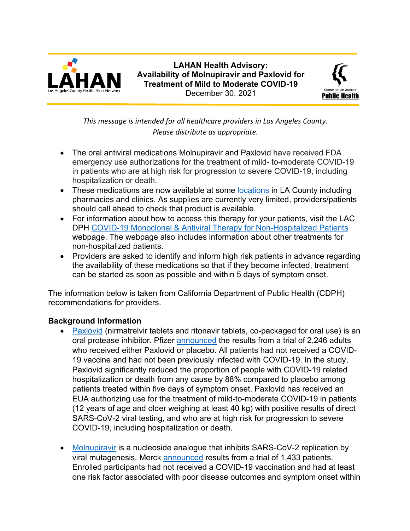

**LAHAN Health Advisory: Availability of Molnupiravir and Paxlovid for Treatment of Mild to Moderate COVID-19** December 30, 2021



*This message is intended for all healthcare providers in Los Angeles County. Please distribute as appropriate.*

- The oral antiviral medications Molnupiravir and Paxlovid have received FDA emergency use authorizations for the treatment of mild- to-moderate COVID-19 in patients who are at high risk for progression to severe COVID-19, including hospitalization or death.
- These medications are now available at some [locations](http://publichealth.lacounty.gov/acd/ncorona2019/therapeutics/#obtainmedication) in LA County including pharmacies and clinics. As supplies are currently very limited, providers/patients should call ahead to check that product is available.
- For information about how to access this therapy for your patients, visit the LAC DPH COVID-19 Monoclonal & Antiviral Therapy [for Non-Hospitalized Patients](http://publichealth.lacounty.gov/acd/ncorona2019/therapeutics/) webpage. The webpage also includes information about other treatments for non-hospitalized patients.
- Providers are asked to identify and inform high risk patients in advance regarding the availability of these medications so that if they become infected, treatment can be started as soon as possible and within 5 days of symptom onset.

The information below is taken from California Department of Public Health (CDPH) recommendations for providers.

## **Background Information**

- [Paxlovid](https://www.fda.gov/media/155049/download) (nirmatrelvir tablets and ritonavir tablets, co-packaged for oral use) is an oral protease inhibitor. Pfizer [announced](https://clinicaltrials.gov/ct2/show/NCT04960202) the results from a trial of 2,246 adults who received either Paxlovid or placebo. All patients had not received a COVID-19 vaccine and had not been previously infected with COVID-19. In the study, Paxlovid significantly reduced the proportion of people with COVID-19 related hospitalization or death from any cause by 88% compared to placebo among patients treated within five days of symptom onset. Paxlovid has received an EUA authorizing use for the treatment of mild-to-moderate COVID-19 in patients (12 years of age and older weighing at least 40 kg) with positive results of direct SARS-CoV-2 viral testing, and who are at high risk for progression to severe COVID-19, including hospitalization or death.
- [Molnupiravir](https://www.fda.gov/media/155053/download) is a nucleoside analogue that inhibits SARS-CoV-2 replication by viral mutagenesis. Merck [announced](https://www.merck.com/news/merck-and-ridgeback-announce-publication-of-phase-3-study-of-molnupiravir-an-investigational-oral-antiviral-covid-19-treatment-in-the-new-england-journal-of-medicine/) results from a trial of 1,433 patients. Enrolled participants had not received a COVID-19 vaccination and had at least one risk factor associated with poor disease outcomes and symptom onset within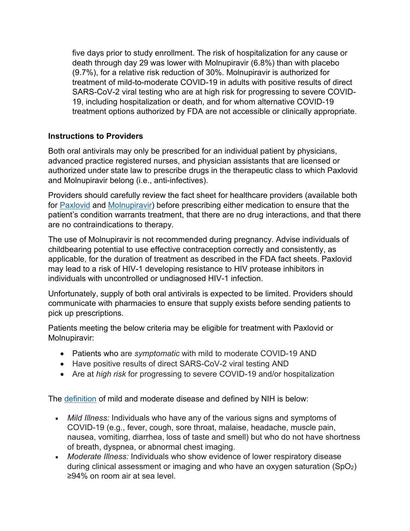five days prior to study enrollment. The risk of hospitalization for any cause or death through day 29 was lower with Molnupiravir (6.8%) than with placebo (9.7%), for a relative risk reduction of 30%. Molnupiravir is authorized for treatment of mild-to-moderate COVID-19 in adults with positive results of direct SARS-CoV-2 viral testing who are at high risk for progressing to severe COVID-19, including hospitalization or death, and for whom alternative COVID-19 treatment options authorized by FDA are not accessible or clinically appropriate.

## **Instructions to Providers**

Both oral antivirals may only be prescribed for an individual patient by physicians, advanced practice registered nurses, and physician assistants that are licensed or authorized under state law to prescribe drugs in the therapeutic class to which Paxlovid and Molnupiravir belong (i.e., anti-infectives).

Providers should carefully review the fact sheet for healthcare providers (available both for [Paxlovid](https://www.fda.gov/media/155050/download) and [Molnupiravir\)](https://www.fda.gov/media/155054/download) before prescribing either medication to ensure that the patient's condition warrants treatment, that there are no drug interactions, and that there are no contraindications to therapy.

The use of Molnupiravir is not recommended during pregnancy. Advise individuals of childbearing potential to use effective contraception correctly and consistently, as applicable, for the duration of treatment as described in the FDA fact sheets. Paxlovid may lead to a risk of HIV-1 developing resistance to HIV protease inhibitors in individuals with uncontrolled or undiagnosed HIV-1 infection.

Unfortunately, supply of both oral antivirals is expected to be limited. Providers should communicate with pharmacies to ensure that supply exists before sending patients to pick up prescriptions.

Patients meeting the below criteria may be eligible for treatment with Paxlovid or Molnupiravir:

- Patients who are *symptomatic* with mild to moderate COVID-19 AND
- Have positive results of direct SARS-CoV-2 viral testing AND
- Are at *high risk* for progressing to severe COVID-19 and/or hospitalization

The [definition](https://www.covid19treatmentguidelines.nih.gov/overview/clinical-spectrum/) of mild and moderate disease and defined by NIH is below:

- *Mild Illness:* Individuals who have any of the various signs and symptoms of COVID-19 (e.g., fever, cough, sore throat, malaise, headache, muscle pain, nausea, vomiting, diarrhea, loss of taste and smell) but who do not have shortness of breath, dyspnea, or abnormal chest imaging.
- *Moderate Illness:* Individuals who show evidence of lower respiratory disease during clinical assessment or imaging and who have an oxygen saturation  $(SpO<sub>2</sub>)$ ≥94% on room air at sea level.